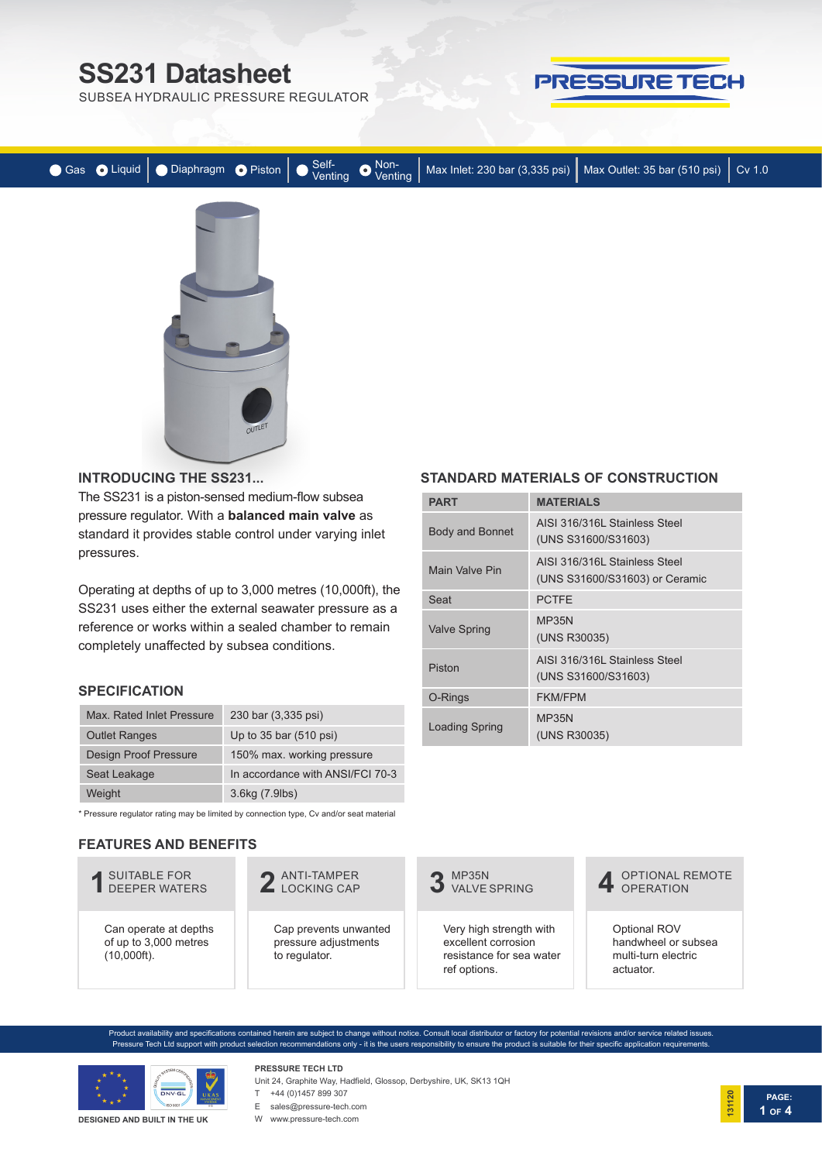# **SS231 Datasheet**

SUBSEA HYDRAULIC PRESSURE REGULATOR



**PAGE:**

**1 OF 4**

**131120**

|  |        |  | ● Gas ● Liquid ● Diaphragm ● Piston ● Venting ● Venting Non-<br>Venting ● Max Inlet: 230 bar (3,335 psi) Max Outlet: 35 bar (510 psi) Cv 1.0 |  |
|--|--------|--|----------------------------------------------------------------------------------------------------------------------------------------------|--|
|  |        |  |                                                                                                                                              |  |
|  | $-$ cT |  |                                                                                                                                              |  |

**PART MATERIALS**

Seat **PCTFE** Valve Spring MP35N

O-Rings FKM/FPM Loading Spring MP35N

AISI 316/316L Stainless Steel (UNS S31600/S31603)

AISI 316/316L Stainless Steel (UNS S31600/S31603) or Ceramic

AISI 316/316L Stainless Steel (UNS S31600/S31603)

(UNS R30035)

**STANDARD MATERIALS OF CONSTRUCTION**

(UNS R30035)

Body and Bonnet

Main Valve Pin

Piston

#### **INTRODUCING THE SS231...**

The SS231 is a piston-sensed medium-flow subsea pressure regulator. With a **balanced main valve** as standard it provides stable control under varying inlet pressures.

Operating at depths of up to 3,000 metres (10,000ft), the SS231 uses either the external seawater pressure as a reference or works within a sealed chamber to remain completely unaffected by subsea conditions.

#### **SPECIFICATION**

| Max Rated Inlet Pressure     | 230 bar (3,335 psi)              |
|------------------------------|----------------------------------|
| <b>Outlet Ranges</b>         | Up to 35 bar (510 psi)           |
| <b>Design Proof Pressure</b> | 150% max. working pressure       |
| Seat Leakage                 | In accordance with ANSI/FCI 70-3 |
| Weight                       | 3.6kg (7.9lbs)                   |

\* Pressure regulator rating may be limited by connection type, Cv and/or seat material

#### **FEATURES AND BENEFITS**



Product availability and specifications contained herein are subject to change without notice. Consult local distributor or factory for potential revisions and/or service related issues. Pressure Tech Ltd support with product selection recommendations only - it is the users responsibility to ensure the product is suitable for their specific application requirements.



#### **DESIGNED AND BUILT IN THE UK**

#### **PRESSURE TECH LTD** Unit 24, Graphite Way, Hadfield, Glossop, Derbyshire, UK, SK13 1QH

T +44 (0)1457 899 307

E sales@pressure-tech.com

|  |  | ∪nit ∠4, Grapnite vvay, i |  |
|--|--|---------------------------|--|
|  |  |                           |  |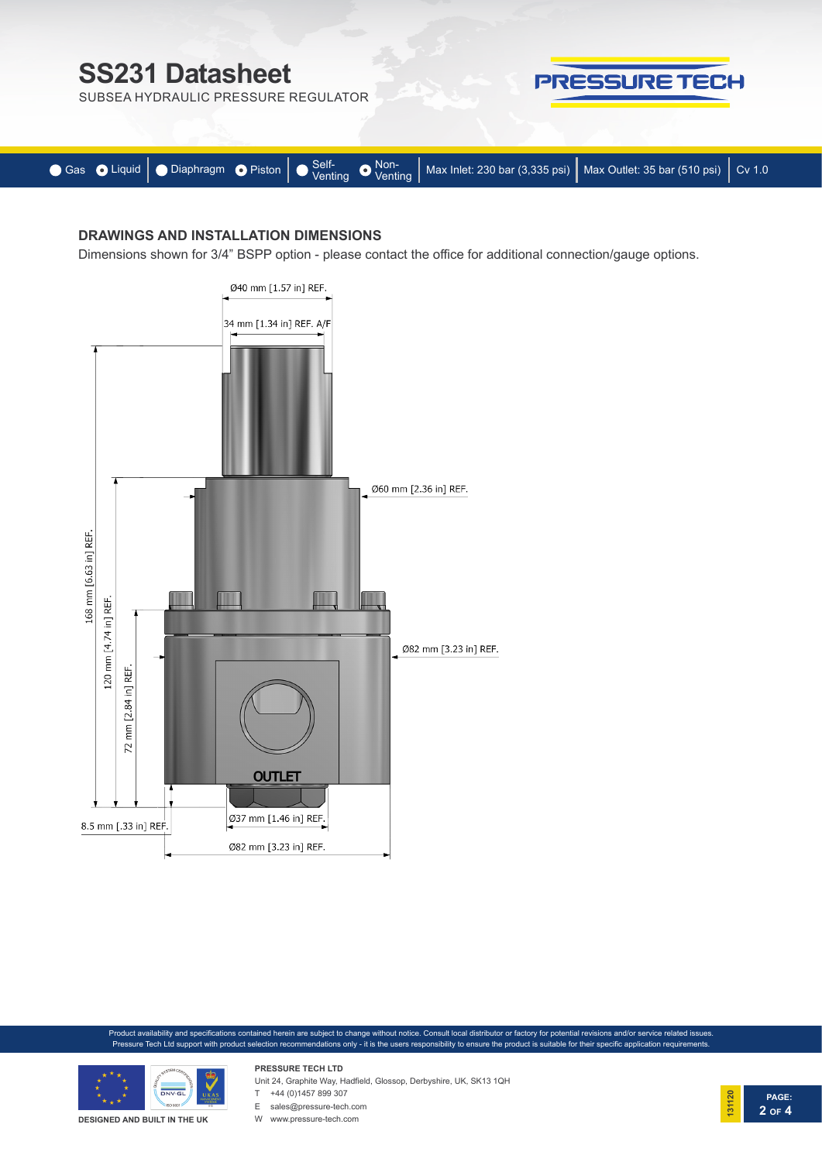

## **DRAWINGS AND INSTALLATION DIMENSIONS**

Dimensions shown for 3/4" BSPP option - please contact the office for additional connection/gauge options.



Product availability and specifications contained herein are subject to change without notice. Consult local distributor or factory for potential revisions and/or service related issues. Pressure Tech Ltd support with product selection recommendations only - it is the users responsibility to ensure the product is suitable for their specific application requirements.



**DESIGNED AND BUILT IN THE UK**

## Unit 24, Graphite Way, Hadfield, Glossop, Derbyshire, UK, SK13 1QH

T +44 (0)1457 899 307

**PRESSURE TECH LTD**

E sales@pressure-tech.com

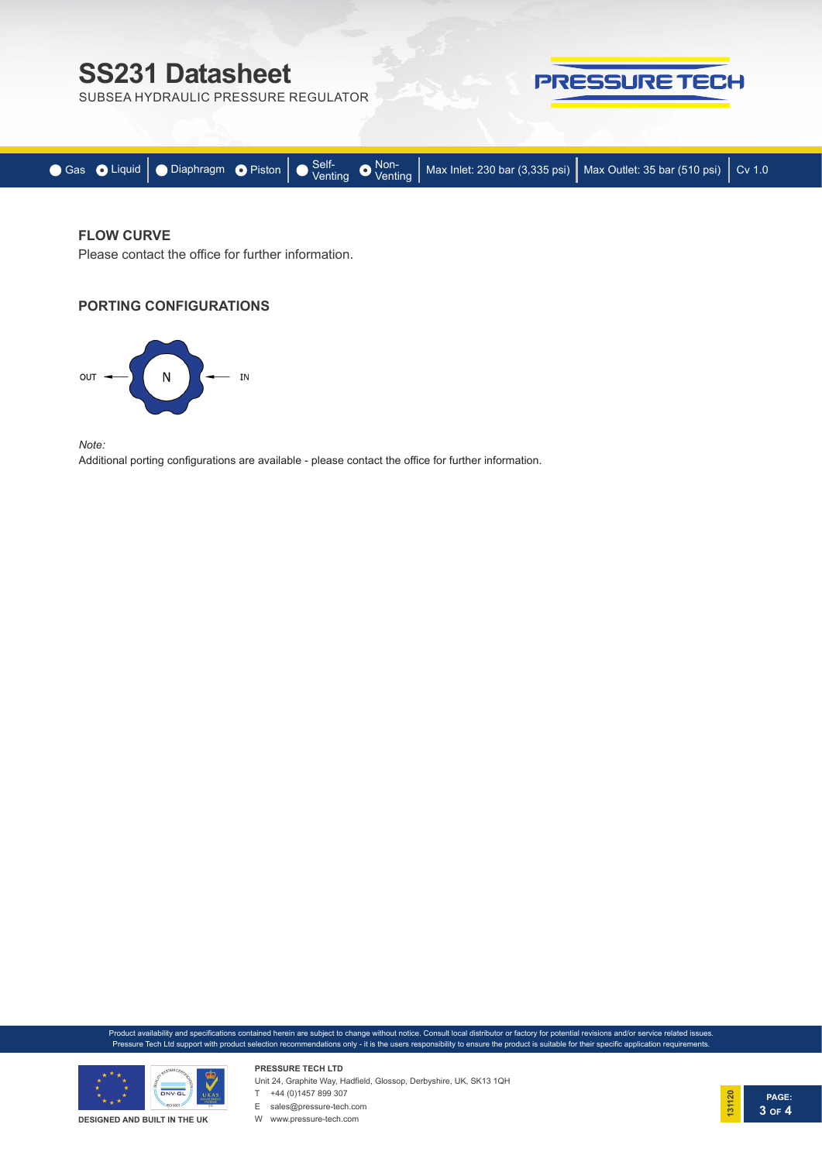# **SS231 Datasheet**

SUBSEA HYDRAULIC PRESSURE REGULATOR



|  |  | ● Gas ● Liquid   ● Diaphragm ● Piston   ● Self-<br>Venting ● Wax Inlet: 230 bar (3,335 psi)   Max Outlet: 35 bar (510 psi)   Cv 1.0 |  |
|--|--|-------------------------------------------------------------------------------------------------------------------------------------|--|

### **FLOW CURVE**

Please contact the office for further information.

#### **PORTING CONFIGURATIONS**



*Note:* 

Additional porting configurations are available - please contact the office for further information.

Product availability and specifications contained herein are subject to change without notice. Consult local distributor or factory for potential revisions and/or service related issues. Pressure Tech Ltd support with product selection recommendations only - it is the users responsibility to ensure the product is suitable for their specific application requirements.



Unit 24, Graphite Way, Hadfield, Glossop, Derbyshire, UK, SK13 1QH



**PRESSURE TECH LTD**